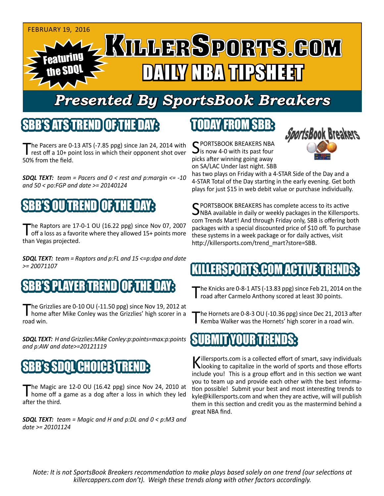

# *Presented By SportsBook Breakers*

#### SBB'S ATSTREND

The Pacers are 0-13 ATS (-7.85 ppg) since Jan 24, 2014 with<br>rest off a 10+ point loss in which their opponent shot over 50% from the field.

*SDQL TEXT: team = Pacers and 0 < rest and p:margin <= -10 and 50 < po:FGP and date >= 20140124*

## SBB'S OU TREND OF THE DAY:

The Raptors are 17-0-1 OU (16.22 ppg) since Nov 07, 2007<br>
off a loss as a favorite where they allowed 15+ points more than Vegas projected.

*SDQL TEXT: team = Raptors and p:FL and 15 <=p:dpa and date >= 20071107*

### SBB'S PLAYER TREN

The Grizzlies are 0-10 OU (-11.50 ppg) since Nov 19, 2012 at home after Mike Conley was the Grizzlies' high scorer in a road win.

*SDQL TEXT: H and Grizzlies:Mike Conley:p:points=max:p:points and p:AW and date>=20121119*

### SBB'S SDOL CHOICE TR

The Magic are 12-0 OU (16.42 ppg) since Nov 24, 2010 at home off a game as a dog after a loss in which they led after the third.

*SDQL TEXT: team = Magic and H and p:DL and 0 < p:M3 and date >= 20101124*

## TODAY FROM SBB:

C PORTSBOOK BREAKERS NBA is now 4-0 with its past four picks after winning going away on SA/LAC Under last night. SBB



has two plays on Friday with a 4-STAR Side of the Day and a 4-STAR Total of the Day starting in the early evening. Get both plays for just \$15 in web debit value or purchase individually.

C PORTSBOOK BREAKERS has complete access to its active  $\Box$ NBA available in daily or weekly packages in the Killersports. com Trends Mart! And through Friday only, SBB is offering both packages with a special discounted price of \$10 off. To purchase these systems in a week package or for daily actives, visit http://killersports.com/trend\_mart?store=SBB.

### RTS.COM ACT

The Knicks are 0-8-1 ATS (-13.83 ppg) since Feb 21, 2014 on the road after Carmelo Anthony scored at least 30 points.

The Hornets are 0-8-3 OU (-10.36 ppg) since Dec 21, 2013 after Kemba Walker was the Hornets' high scorer in a road win.

#### SUBMIT YOUR TRENDS:

Killersports.com is a collected effort of smart, savy individuals<br>Nooking to capitalize in the world of sports and those efforts include you! This is a group effort and in this section we want you to team up and provide each other with the best information possible! Submit your best and most interesting trends to kyle@killersports.com and when they are active, will will publish them in this section and credit you as the mastermind behind a great NBA find.

*Note: It is not SportsBook Breakers recommendation to make plays based solely on one trend (our selections at killercappers.com don't). Weigh these trends along with other factors accordingly.*